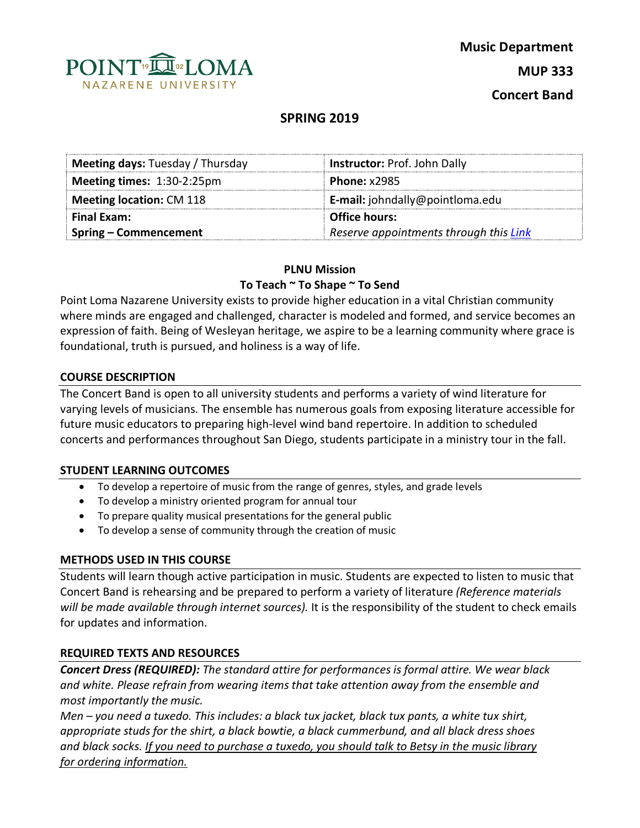

# **SPRING 2019**

| <b>Meeting days: Tuesday / Thursday</b><br><b>Instructor: Prof. John Dally</b> |                                        |
|--------------------------------------------------------------------------------|----------------------------------------|
| Meeting times: 1:30-2:25pm                                                     | <b>Phone: x2985</b>                    |
| <b>Meeting location: CM 118</b>                                                | <b>E-mail:</b> johndally@pointloma.edu |
| <b>Final Exam:</b>                                                             | <b>Office hours:</b>                   |
| Spring – Commencement                                                          | Reserve appointments through this Link |

### **PLNU Mission**

### **To Teach ~ To Shape ~ To Send**

Point Loma Nazarene University exists to provide higher education in a vital Christian community where minds are engaged and challenged, character is modeled and formed, and service becomes an expression of faith. Being of Wesleyan heritage, we aspire to be a learning community where grace is foundational, truth is pursued, and holiness is a way of life.

### **COURSE DESCRIPTION**

The Concert Band is open to all university students and performs a variety of wind literature for varying levels of musicians. The ensemble has numerous goals from exposing literature accessible for future music educators to preparing high-level wind band repertoire. In addition to scheduled concerts and performances throughout San Diego, students participate in a ministry tour in the fall.

### **STUDENT LEARNING OUTCOMES**

- To develop a repertoire of music from the range of genres, styles, and grade levels
- To develop a ministry oriented program for annual tour
- To prepare quality musical presentations for the general public
- To develop a sense of community through the creation of music

### **METHODS USED IN THIS COURSE**

Students will learn though active participation in music. Students are expected to listen to music that Concert Band is rehearsing and be prepared to perform a variety of literature *(Reference materials will be made available through internet sources).* It is the responsibility of the student to check emails for updates and information.

### **REQUIRED TEXTS AND RESOURCES**

*Concert Dress (REQUIRED): The standard attire for performances is formal attire. We wear black and white. Please refrain from wearing items that take attention away from the ensemble and most importantly the music.* 

*Men – you need a tuxedo. This includes: a black tux jacket, black tux pants, a white tux shirt, appropriate studs for the shirt, a black bowtie, a black cummerbund, and all black dress shoes and black socks. If you need to purchase a tuxedo, you should talk to Betsy in the music library for ordering information.*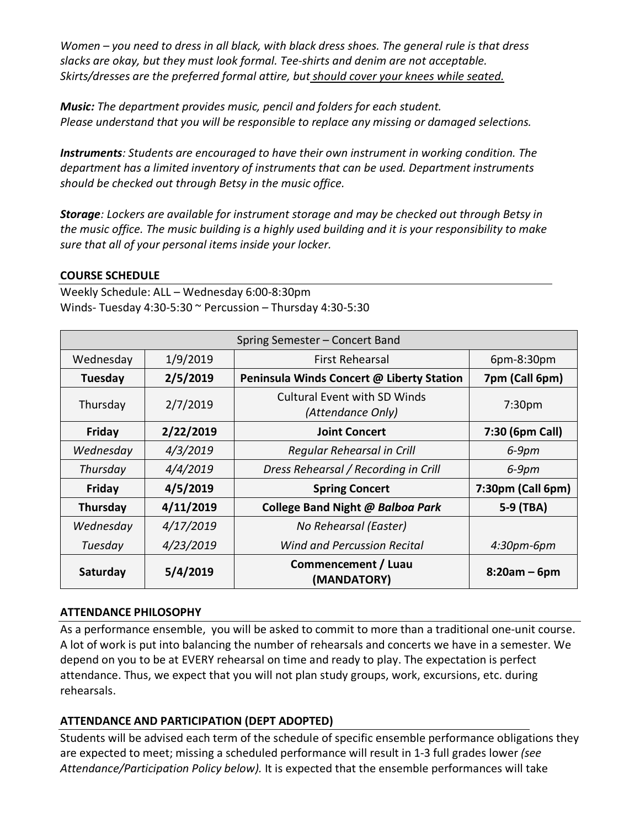*Women – you need to dress in all black, with black dress shoes. The general rule is that dress slacks are okay, but they must look formal. Tee-shirts and denim are not acceptable. Skirts/dresses are the preferred formal attire, but should cover your knees while seated.*

*Music: The department provides music, pencil and folders for each student. Please understand that you will be responsible to replace any missing or damaged selections.* 

*Instruments: Students are encouraged to have their own instrument in working condition. The department has a limited inventory of instruments that can be used. Department instruments should be checked out through Betsy in the music office.* 

*Storage: Lockers are available for instrument storage and may be checked out through Betsy in the music office. The music building is a highly used building and it is your responsibility to make sure that all of your personal items inside your locker.* 

## **COURSE SCHEDULE**

Weekly Schedule: ALL – Wednesday 6:00-8:30pm Winds- Tuesday 4:30-5:30 ~ Percussion – Thursday 4:30-5:30

| Spring Semester - Concert Band |           |                                                          |                    |  |
|--------------------------------|-----------|----------------------------------------------------------|--------------------|--|
| Wednesday                      | 1/9/2019  | First Rehearsal                                          | 6pm-8:30pm         |  |
| Tuesday                        | 2/5/2019  | Peninsula Winds Concert @ Liberty Station                | 7pm (Call 6pm)     |  |
| Thursday                       | 2/7/2019  | <b>Cultural Event with SD Winds</b><br>(Attendance Only) | 7:30 <sub>pm</sub> |  |
| Friday                         | 2/22/2019 | <b>Joint Concert</b>                                     | 7:30 (6pm Call)    |  |
| Wednesday                      | 4/3/2019  | Regular Rehearsal in Crill                               | $6-9$ pm           |  |
| Thursday                       | 4/4/2019  | Dress Rehearsal / Recording in Crill                     | $6-9$ pm           |  |
| Friday                         | 4/5/2019  | <b>Spring Concert</b>                                    | 7:30pm (Call 6pm)  |  |
| <b>Thursday</b>                | 4/11/2019 | College Band Night @ Balboa Park                         | 5-9 (TBA)          |  |
| Wednesday                      | 4/17/2019 | No Rehearsal (Easter)                                    |                    |  |
| Tuesday                        | 4/23/2019 | <b>Wind and Percussion Recital</b>                       | 4:30pm-6pm         |  |
| Saturday                       | 5/4/2019  | Commencement / Luau<br>(MANDATORY)                       | $8:20am - 6pm$     |  |

## **ATTENDANCE PHILOSOPHY**

As a performance ensemble, you will be asked to commit to more than a traditional one-unit course. A lot of work is put into balancing the number of rehearsals and concerts we have in a semester. We depend on you to be at EVERY rehearsal on time and ready to play. The expectation is perfect attendance. Thus, we expect that you will not plan study groups, work, excursions, etc. during rehearsals.

# **ATTENDANCE AND PARTICIPATION (DEPT ADOPTED)**

Students will be advised each term of the schedule of specific ensemble performance obligations they are expected to meet; missing a scheduled performance will result in 1-3 full grades lower *(see Attendance/Participation Policy below).* It is expected that the ensemble performances will take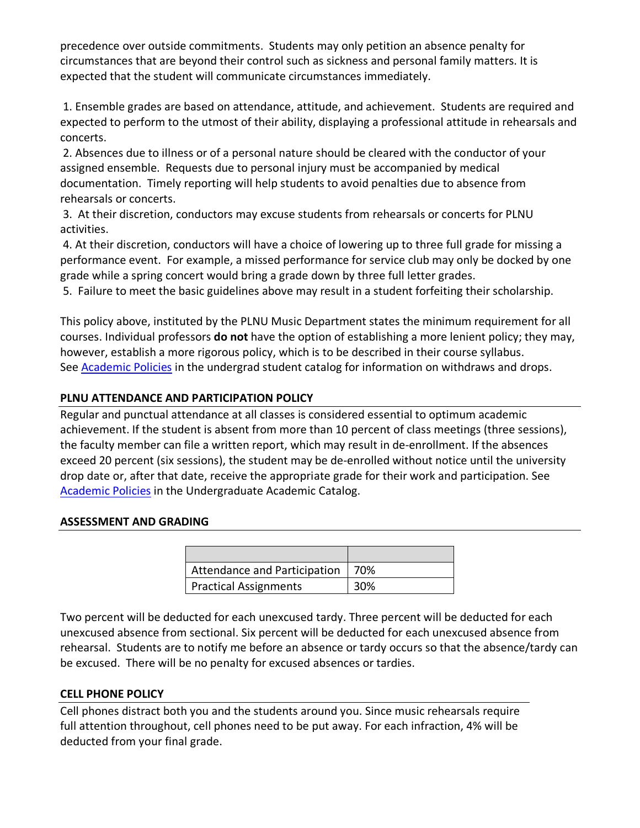precedence over outside commitments. Students may only petition an absence penalty for circumstances that are beyond their control such as sickness and personal family matters. It is expected that the student will communicate circumstances immediately.

1. Ensemble grades are based on attendance, attitude, and achievement. Students are required and expected to perform to the utmost of their ability, displaying a professional attitude in rehearsals and concerts.

2. Absences due to illness or of a personal nature should be cleared with the conductor of your assigned ensemble. Requests due to personal injury must be accompanied by medical documentation. Timely reporting will help students to avoid penalties due to absence from rehearsals or concerts.

3. At their discretion, conductors may excuse students from rehearsals or concerts for PLNU activities.

4. At their discretion, conductors will have a choice of lowering up to three full grade for missing a performance event. For example, a missed performance for service club may only be docked by one grade while a spring concert would bring a grade down by three full letter grades.

5. Failure to meet the basic guidelines above may result in a student forfeiting their scholarship.

This policy above, instituted by the PLNU Music Department states the minimum requirement for all courses. Individual professors **do not** have the option of establishing a more lenient policy; they may, however, establish a more rigorous policy, which is to be described in their course syllabus. See **Academic Policies** in the undergrad student catalog for information on withdraws and drops.

## **PLNU ATTENDANCE AND PARTICIPATION POLICY**

Regular and punctual attendance at all classes is considered essential to optimum academic achievement. If the student is absent from more than 10 percent of class meetings (three sessions), the faculty member can file a written report, which may result in de-enrollment. If the absences exceed 20 percent (six sessions), the student may be de-enrolled without notice until the university drop date or, after that date, receive the appropriate grade for their work and participation. See Academic Policies in the Undergraduate Academic Catalog.

## **ASSESSMENT AND GRADING**

| Attendance and Participation | - 70% |
|------------------------------|-------|
| <b>Practical Assignments</b> | 30%   |

Two percent will be deducted for each unexcused tardy. Three percent will be deducted for each unexcused absence from sectional. Six percent will be deducted for each unexcused absence from rehearsal. Students are to notify me before an absence or tardy occurs so that the absence/tardy can be excused. There will be no penalty for excused absences or tardies.

## **CELL PHONE POLICY**

Cell phones distract both you and the students around you. Since music rehearsals require full attention throughout, cell phones need to be put away. For each infraction, 4% will be deducted from your final grade.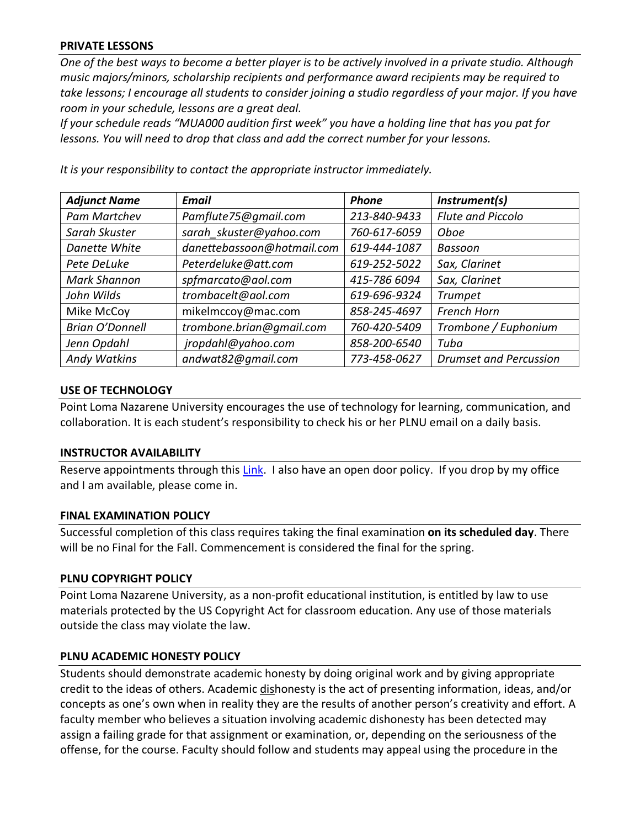### **PRIVATE LESSONS**

*One of the best ways to become a better player is to be actively involved in a private studio. Although music majors/minors, scholarship recipients and performance award recipients may be required to take lessons; I encourage all students to consider joining a studio regardless of your major. If you have room in your schedule, lessons are a great deal.* 

*If your schedule reads "MUA000 audition first week" you have a holding line that has you pat for lessons. You will need to drop that class and add the correct number for your lessons.* 

| <b>Adjunct Name</b>    | <b>Email</b>               | <b>Phone</b> | Instrument(s)                 |
|------------------------|----------------------------|--------------|-------------------------------|
| <b>Pam Martchev</b>    | Pamflute75@gmail.com       | 213-840-9433 | <b>Flute and Piccolo</b>      |
| Sarah Skuster          | sarah skuster@yahoo.com    | 760-617-6059 | Oboe                          |
| Danette White          | danettebassoon@hotmail.com | 619-444-1087 | Bassoon                       |
| Pete DeLuke            | Peterdeluke@att.com        | 619-252-5022 | Sax, Clarinet                 |
| <b>Mark Shannon</b>    | spfmarcato@aol.com         | 415-786 6094 | Sax, Clarinet                 |
| John Wilds             | trombacelt@aol.com         | 619-696-9324 | <b>Trumpet</b>                |
| Mike McCoy             | mikelmccoy@mac.com         | 858-245-4697 | <b>French Horn</b>            |
| <b>Brian O'Donnell</b> | trombone.brian@gmail.com   | 760-420-5409 | Trombone / Euphonium          |
| Jenn Opdahl            | jropdahl@yahoo.com         | 858-200-6540 | Tuba                          |
| <b>Andy Watkins</b>    | andwat82@gmail.com         | 773-458-0627 | <b>Drumset and Percussion</b> |

*It is your responsibility to contact the appropriate instructor immediately.* 

### **USE OF TECHNOLOGY**

Point Loma Nazarene University encourages the use of technology for learning, communication, and collaboration. It is each student's responsibility to check his or her PLNU email on a daily basis.

### **INSTRUCTOR AVAILABILITY**

Reserve appointments through this Link. I also have an open door policy. If you drop by my office and I am available, please come in.

### **FINAL EXAMINATION POLICY**

Successful completion of this class requires taking the final examination **on its scheduled day**. There will be no Final for the Fall. Commencement is considered the final for the spring.

### **PLNU COPYRIGHT POLICY**

Point Loma Nazarene University, as a non-profit educational institution, is entitled by law to use materials protected by the US Copyright Act for classroom education. Any use of those materials outside the class may violate the law.

### **PLNU ACADEMIC HONESTY POLICY**

Students should demonstrate academic honesty by doing original work and by giving appropriate credit to the ideas of others. Academic dishonesty is the act of presenting information, ideas, and/or concepts as one's own when in reality they are the results of another person's creativity and effort. A faculty member who believes a situation involving academic dishonesty has been detected may assign a failing grade for that assignment or examination, or, depending on the seriousness of the offense, for the course. Faculty should follow and students may appeal using the procedure in the